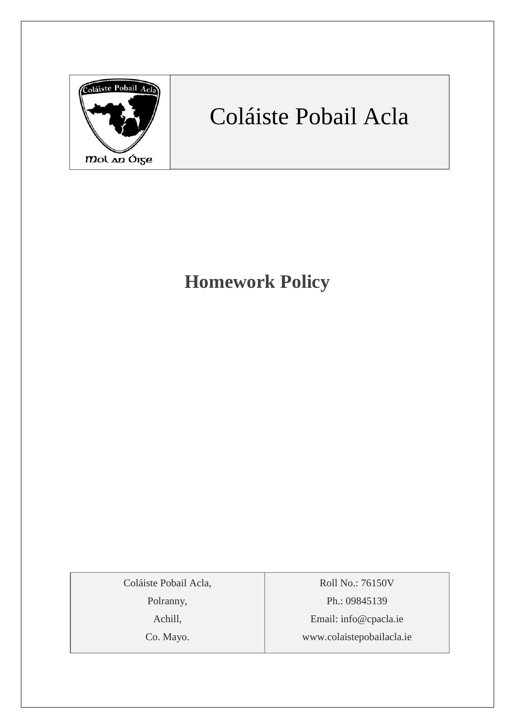

# Coláiste Pobail Acla

# **Homework Policy**

Coláiste Pobail Acla,

Polranny,

Achill,

Co. Mayo.

Roll No.: 76150V Ph.: 09845139 Email: [info@cpacla.ie](mailto:info@cpacla.ie) www.colaistepobailacla.ie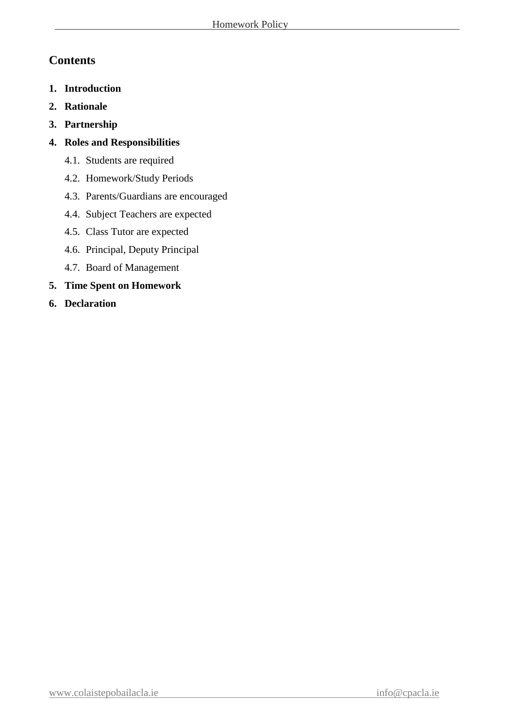# **Contents**

- **1. Introduction**
- **2. Rationale**
- **3. Partnership**
- **4. Roles and Responsibilities**
	- 4.1. Students are required
	- 4.2. Homework/Study Periods
	- 4.3. Parents/Guardians are encouraged
	- 4.4. Subject Teachers are expected
	- 4.5. Class Tutor are expected
	- 4.6. Principal, Deputy Principal
	- 4.7. Board of Management
- **5. Time Spent on Homework**
- **6. Declaration**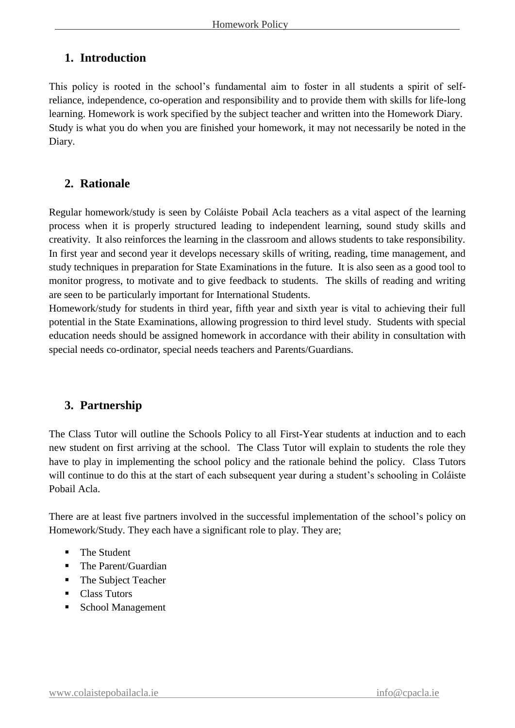## **1. Introduction**

This policy is rooted in the school's fundamental aim to foster in all students a spirit of selfreliance, independence, co-operation and responsibility and to provide them with skills for life-long learning. Homework is work specified by the subject teacher and written into the Homework Diary. Study is what you do when you are finished your homework, it may not necessarily be noted in the Diary.

# **2. Rationale**

Regular homework/study is seen by Coláiste Pobail Acla teachers as a vital aspect of the learning process when it is properly structured leading to independent learning, sound study skills and creativity. It also reinforces the learning in the classroom and allows students to take responsibility. In first year and second year it develops necessary skills of writing, reading, time management, and study techniques in preparation for State Examinations in the future. It is also seen as a good tool to monitor progress, to motivate and to give feedback to students. The skills of reading and writing are seen to be particularly important for International Students.

Homework/study for students in third year, fifth year and sixth year is vital to achieving their full potential in the State Examinations, allowing progression to third level study. Students with special education needs should be assigned homework in accordance with their ability in consultation with special needs co-ordinator, special needs teachers and Parents/Guardians.

# **3. Partnership**

The Class Tutor will outline the Schools Policy to all First-Year students at induction and to each new student on first arriving at the school. The Class Tutor will explain to students the role they have to play in implementing the school policy and the rationale behind the policy. Class Tutors will continue to do this at the start of each subsequent year during a student's schooling in Coláiste Pobail Acla.

There are at least five partners involved in the successful implementation of the school's policy on Homework/Study. They each have a significant role to play. They are;

- The Student
- The Parent/Guardian
- The Subject Teacher
- Class Tutors
- School Management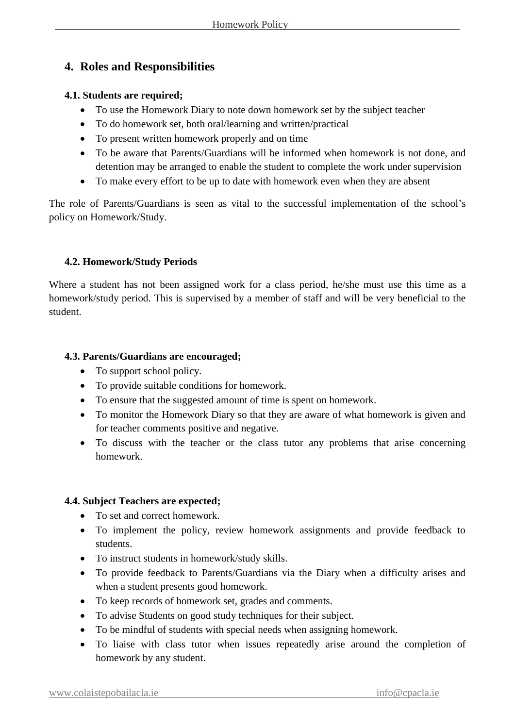# **4. Roles and Responsibilities**

#### **4.1. Students are required;**

- To use the Homework Diary to note down homework set by the subject teacher
- To do homework set, both oral/learning and written/practical
- To present written homework properly and on time
- To be aware that Parents/Guardians will be informed when homework is not done, and detention may be arranged to enable the student to complete the work under supervision
- To make every effort to be up to date with homework even when they are absent

The role of Parents/Guardians is seen as vital to the successful implementation of the school's policy on Homework/Study.

#### **4.2. Homework/Study Periods**

Where a student has not been assigned work for a class period, he/she must use this time as a homework/study period. This is supervised by a member of staff and will be very beneficial to the student.

#### **4.3. Parents/Guardians are encouraged;**

- To support school policy.
- To provide suitable conditions for homework.
- To ensure that the suggested amount of time is spent on homework.
- To monitor the Homework Diary so that they are aware of what homework is given and for teacher comments positive and negative.
- To discuss with the teacher or the class tutor any problems that arise concerning homework.

#### **4.4. Subject Teachers are expected;**

- To set and correct homework.
- To implement the policy, review homework assignments and provide feedback to students.
- To instruct students in homework/study skills.
- To provide feedback to Parents/Guardians via the Diary when a difficulty arises and when a student presents good homework.
- To keep records of homework set, grades and comments.
- To advise Students on good study techniques for their subject.
- To be mindful of students with special needs when assigning homework.
- To liaise with class tutor when issues repeatedly arise around the completion of homework by any student.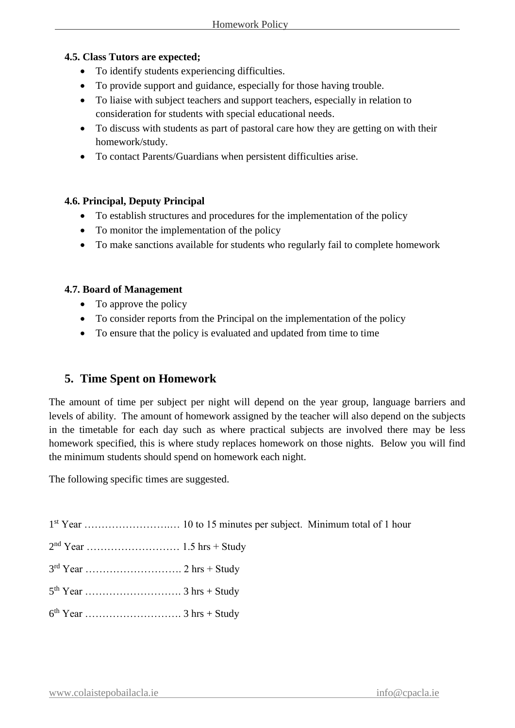#### **4.5. Class Tutors are expected;**

- To identify students experiencing difficulties.
- To provide support and guidance, especially for those having trouble.
- To liaise with subject teachers and support teachers, especially in relation to consideration for students with special educational needs.
- To discuss with students as part of pastoral care how they are getting on with their homework/study.
- To contact Parents/Guardians when persistent difficulties arise.

#### **4.6. Principal, Deputy Principal**

- To establish structures and procedures for the implementation of the policy
- To monitor the implementation of the policy
- To make sanctions available for students who regularly fail to complete homework

#### **4.7. Board of Management**

- To approve the policy
- To consider reports from the Principal on the implementation of the policy
- To ensure that the policy is evaluated and updated from time to time

## **5. Time Spent on Homework**

The amount of time per subject per night will depend on the year group, language barriers and levels of ability. The amount of homework assigned by the teacher will also depend on the subjects in the timetable for each day such as where practical subjects are involved there may be less homework specified, this is where study replaces homework on those nights. Below you will find the minimum students should spend on homework each night.

The following specific times are suggested.

1 st Year …………………….… 10 to 15 minutes per subject. Minimum total of 1 hour

- 2 nd Year ……………………… 1.5 hrs + Study
- 3 rd Year ………………………. 2 hrs + Study
- 5 th Year ………………………. 3 hrs + Study
- 6 th Year ………………………. 3 hrs + Study